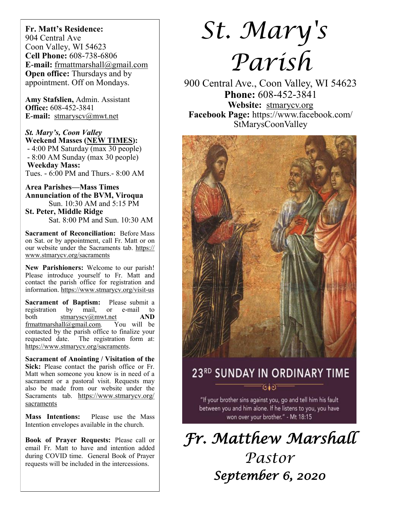**Fr. Matt's Residence:**  904 Central Ave Coon Valley, WI 54623 **Cell Phone:** 608-738-6806 **E-mail:** [frmattmarshall@gmail.com](mailto:frmattmarshall@gmail.com) **Open office:** Thursdays and by appointment. Off on Mondays.

**Amy Stafslien,** Admin. Assistant **Office:** 608-452-3841 **E-mail:** [stmaryscv@mwt.net](mailto:stmaryscv@mwt.net)

*St. Mary's, Coon Valley*  **Weekend Masses (NEW TIMES):** - 4:00 PM Saturday (max 30 people) - 8:00 AM Sunday (max 30 people)

**Weekday Mass:**  Tues. - 6:00 PM and Thurs.- 8:00 AM

**Area Parishes—Mass Times Annunciation of the BVM, Viroqua** Sun. 10:30 AM and 5:15 PM

**St. Peter, Middle Ridge** Sat. 8:00 PM and Sun. 10:30 AM

**Sacrament of Reconciliation:** Before Mass on Sat. or by appointment, call Fr. Matt or on our website under the Sacraments tab. [https://](https://www.stmarycv.org/sacraments) [www.stmarycv.org/sacraments](https://www.stmarycv.org/sacraments)

**New Parishioners:** Welcome to our parish! Please introduce yourself to Fr. Matt and contact the parish office for registration and information. <https://www.stmarycv.org/visit-us>

**Sacrament of Baptism:** Please submit a registration by mail, or e-mail to registration by mail, or e-mail to both [stmaryscv@mwt.net](mailto:stmaryscv@mwt.net) **AND** [frmattmarshall@gmail.com](mailto:frmattmarshall@gmail.com)*.* You will be contacted by the parish office to finalize your requested date. The registration form at: <https://www.stmarycv.org/sacraments>.

**Sacrament of Anointing / Visitation of the Sick:** Please contact the parish office or Fr. Matt when someone you know is in need of a sacrament or a pastoral visit. Requests may also be made from our website under the Sacraments tab. [https://www.stmarycv.org/](https://www.stmarycv.org/sacraments) [sacraments](https://www.stmarycv.org/sacraments)

**Mass Intentions:** Please use the Mass Intention envelopes available in the church.

**Book of Prayer Requests:** Please call or email Fr. Matt to have and intention added during COVID time. General Book of Prayer requests will be included in the intercessions.

# *St. Mary's Parish*

900 Central Ave., Coon Valley, WI 54623 **Phone:** 608-452-3841 **Website:** <stmarycv.org> **Facebook Page:** https://www.facebook.com/ StMarysCoonValley



*Fr. Matthew Marshall Pastor September 6, 2020*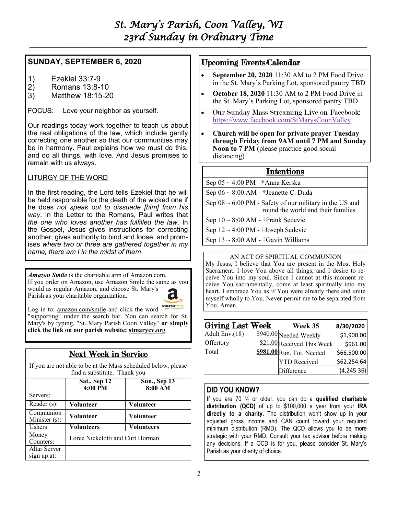# *St. Mary's Parish, Coon Valley, WI 23rd Sunday in Ordinary Time*

**—————————————————————————–———–-——–--—————————————–—**

### **SUNDAY, SEPTEMBER 6, 2020**

- 1) Ezekiel 33:7-9<br>2) Romans 13:8-1
- 2) Romans 13:8-10
- 3) Matthew 18:15-20

FOCUS: Love your neighbor as yourself.

Our readings today work together to teach us about the real obligations of the law, which include gently correcting one another so that our communities may be in harmony. Paul explains how we must do this, and do all things, with love. And Jesus promises to remain with us always.

#### LITURGY OF THE WORD

In the first reading, the Lord tells Ezekiel that he will be held responsible for the death of the wicked one if he does *not speak out to dissuade [him] from his way*. In the Letter to the Romans, Paul writes that *the one who loves another has fulfilled the law*. In the Gospel, Jesus gives instructions for correcting another, gives authority to bind and loose, and promises *where two or three are gathered together in my name, there am I in the midst of them*

*Amazon Smile* is the charitable arm of Amazon.com. If you order on Amazon, use Amazon Smile the same as you would as regular Amazon, and choose St. Mary's Parish as your charitable organization.



Log in to: [amazon.com/smile](http://amazon.com/smile) and click the word "supporting" under the search bar. You can search for St. Mary's by typing, "St. Mary Parish Coon Valley" **or simply click the link on our parish website:<stmarycv.org>**

# Next Week in Service

If you are not able to be at the Mass scheduled below, please find a substitute. Thank you

|                               | Sat., Sep 12<br>4:00 PM          | <b>Sun., Sep 13</b><br>8:00 AM |  |  |
|-------------------------------|----------------------------------|--------------------------------|--|--|
| Servers:                      |                                  |                                |  |  |
| Reader $(s)$ :                | Volunteer                        | <b>Volunteer</b>               |  |  |
| Communion<br>Minister $(s)$ : | <b>Volunteer</b>                 | <b>Volunteer</b>               |  |  |
| Ushers:                       | Volunteers                       | <b>Volunteers</b>              |  |  |
| Money<br>Counters:            | Loree Nickelotti and Curt Horman |                                |  |  |
| Altar Server<br>sign up at:   |                                  |                                |  |  |

### Upcoming Events/Calendar

- **September 20, 2020** 11:30 AM to 2 PM Food Drive in the St. Mary's Parking Lot, sponsored pantry TBD
- **October 18, 2020** 11:30 AM to 2 PM Food Drive in the St. Mary's Parking Lot, sponsored pantry TBD
- Our Sunday Mass Streaming Live on Facebook: <https://www.facebook.com/StMarysCoonValley>
- **Church will be open for private prayer Tuesday through Friday from 9AM until 7 PM and Sunday Noon to 7 PM** (please practice good social distancing)

#### Intentions

| Sep $05 \sim 4:00 \text{ PM}$ - †Anna Kerska                                                       |
|----------------------------------------------------------------------------------------------------|
| Sep $06 \sim 8:00$ AM - †Jeanette C. Duda                                                          |
| Sep $08 \sim 6:00$ PM - Safety of our military in the US and<br>round the world and their families |
| Sep $10 \sim 8:00$ AM - †Frank Sedevie                                                             |
| Sep $12 \sim 4:00 \text{ PM}$ - †Joseph Sedevie                                                    |
| Sep $13 \sim 8:00$ AM - †Gavin Williams                                                            |
|                                                                                                    |

#### AN ACT OF SPIRITUAL COMMUNION

My Jesus, I believe that You are present in the Most Holy Sacrament. I love You above all things, and I desire to receive You into my soul. Since I cannot at this moment receive You sacramentally, come at least spiritually into my heart. I embrace You as if You were already there and unite myself wholly to You. Never permit me to be separated from You. Amen.

| Giving Last Week | Week 35                    | 8/30/2020   |
|------------------|----------------------------|-------------|
| Adult Env.(18)   | \$940.00 Needed Weekly     | \$1,900.00  |
| Offertory        | \$21.00 Received This Week | \$961.00    |
| Total            | \$981.00 Run. Tot. Needed  | \$66,500.00 |
|                  | <b>YTD</b> Received        | \$62,254.64 |
|                  | Difference                 | (4, 245.36) |

#### **DID YOU KNOW?**

If you are 70 ½ or older, you can do a **qualified charitable distribution (QCD)** of up to \$100,000 a year from your **IRA directly to a charity**. The distribution won't show up in your adjusted gross income and CAN count toward your required minimum distribution (RMD). The QCD allows you to be more strategic with your RMD. Consult your tax advisor before making any decisions. If a QCD is for you, please consider St. Mary's Parish as your charity of choice.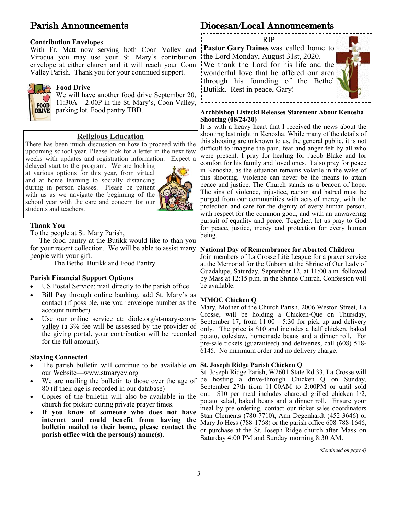# Parish Announcements

#### **Contribution Envelopes**

With Fr. Matt now serving both Coon Valley and Viroqua you may use your St. Mary's contribution envelope at either church and it will reach your Coon Valley Parish. Thank you for your continued support.



#### **Food Drive**

We will have another food drive September 20, 11:30A – 2:00P in the St. Mary's, Coon Valley, parking lot. Food pantry TBD.

#### **Religious Education**

There has been much discussion on how to proceed with the upcoming school year. Please look for a letter in the next few weeks with updates and registration information. Expect a

delayed start to the program. We are looking at various options for this year, from virtual and at home learning to socially distancing during in person classes. Please be patient with us as we navigate the beginning of the school year with the care and concern for our students and teachers.



#### **Thank You**

To the people at St. Mary Parish,

 The food pantry at the Butikk would like to than you for your recent collection. We will be able to assist many people with your gift.

The Bethel Butikk and Food Pantry

#### **Parish Financial Support Options**

- US Postal Service: mail directly to the parish office.
- Bill Pay through online banking, add St. Mary's as contact (if possible, use your envelope number as the account number).
- Use our online service at: [diolc.org/st-mary-coon](http://www.diolc.org/st-mary-coon-valley)[valley](http://www.diolc.org/st-mary-coon-valley) (a 3% fee will be assessed by the provider of the giving portal, your contribution will be recorded for the full amount).

#### **Staying Connected**

- The parish bulletin will continue to be available on **St. Joseph Ridge Parish Chicken Q** our Website—[www.stmarycv.org](http://www.stmarycv.org)
- We are mailing the bullet in to those over the age of 80 (if their age is recorded in our database)
- Copies of the bulletin will also be available in the church for pickup during private prayer times.
- **If you know of someone who does not have internet and could benefit from having the bulletin mailed to their home, please contact the parish office with the person(s) name(s).**

# Diocesan/Local Announcements



#### **Archbishop Listecki Releases Statement About Kenosha Shooting (08/24/20)**

It is with a heavy heart that I received the news about the shooting last night in Kenosha. While many of the details of this shooting are unknown to us, the general public, it is not difficult to imagine the pain, fear and anger felt by all who were present. I pray for healing for Jacob Blake and for comfort for his family and loved ones. I also pray for peace in Kenosha, as the situation remains volatile in the wake of this shooting. Violence can never be the means to attain peace and justice. The Church stands as a beacon of hope. The sins of violence, injustice, racism and hatred must be purged from our communities with acts of mercy, with the protection and care for the dignity of every human person, with respect for the common good, and with an unwavering pursuit of equality and peace. Together, let us pray to God for peace, justice, mercy and protection for every human being.

#### **National Day of Remembrance for Aborted Children**

Join members of La Crosse Life League for a prayer service at the Memorial for the Unborn at the Shrine of Our Lady of Guadalupe, Saturday, September 12, at 11:00 a.m. followed by Mass at 12:15 p.m. in the Shrine Church. Confession will be available.

#### **MMOC Chicken Q**

Mary, Mother of the Church Parish, 2006 Weston Street, La Crosse, will be holding a Chicken-Que on Thursday, September 17, from 11:00 - 5:30 for pick up and delivery only. The price is \$10 and includes a half chicken, baked potato, coleslaw, homemade beans and a dinner roll. For pre-sale tickets (guaranteed) and deliveries, call (608) 518- 6145. No minimum order and no delivery charge.

St. Joseph Ridge Parish, W2601 State Rd 33, La Crosse will be hosting a drive-through Chicken Q on Sunday, September 27th from 11:00AM to 2:00PM or until sold out. \$10 per meal includes charcoal grilled chicken 1/2, potato salad, baked beans and a dinner roll. Ensure your meal by pre ordering, contact our ticket sales coordinators Stan Clements (780-7710), Ann Degenhardt (452-3646) or Mary Jo Hess (788-1768) or the parish office 608-788-1646, or purchase at the St. Joseph Ridge church after Mass on Saturday 4:00 PM and Sunday morning 8:30 AM.